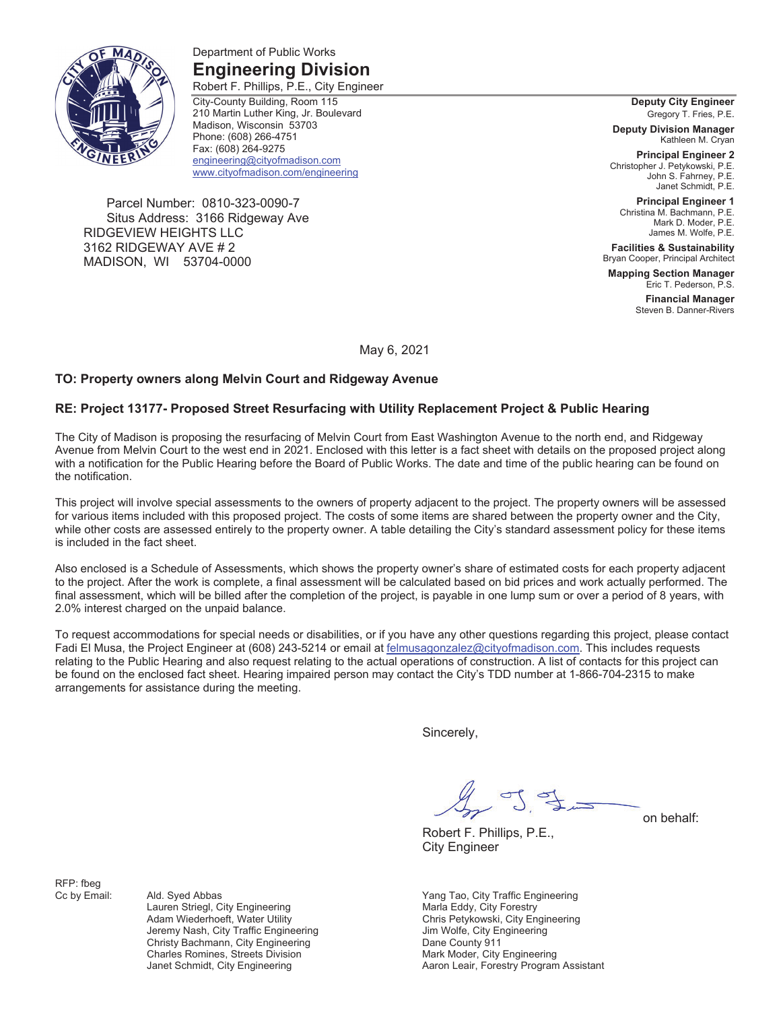

Department of Public Works **Engineering Division** 

Robert F. Phillips, P.E., City Engineer City-County Building, Room 115 210 Martin Luther King, Jr. Boulevard Madison, Wisconsin 53703 Phone: (608) 266-4751 Fax: (608) 264-9275 engineering@cityofmadison.com www.cityofmadison.com/engineering

Parcel Number: 0810-323-0090-7 Situs Address: 3166 Ridgeway Ave RIDGEVIEW HEIGHTS LLC 3162 RIDGEWAY AVE # 2 MADISON, WI 53704-0000

#### **Deputy City Engineer**  Gregory T. Fries, P.E.

**Deputy Division Manager**  Kathleen M. Cryan

**Principal Engineer 2**  Christopher J. Petykowski, P.E. John S. Fahrney, P.E. Janet Schmidt, P.E.

**Principal Engineer 1**  Christina M. Bachmann, P.E. Mark D. Moder, P.E. James M. Wolfe, P.E.

**Facilities & Sustainability**  Bryan Cooper, Principal Architect

**Mapping Section Manager**  Eric T. Pederson, P.S.

> **Financial Manager**  Steven B. Danner-Rivers

May 6, 2021

### **TO: Property owners along Melvin Court and Ridgeway Avenue**

### **RE: Project 13177- Proposed Street Resurfacing with Utility Replacement Project & Public Hearing**

The City of Madison is proposing the resurfacing of Melvin Court from East Washington Avenue to the north end, and Ridgeway Avenue from Melvin Court to the west end in 2021. Enclosed with this letter is a fact sheet with details on the proposed project along with a notification for the Public Hearing before the Board of Public Works. The date and time of the public hearing can be found on the notification.

This project will involve special assessments to the owners of property adjacent to the project. The property owners will be assessed for various items included with this proposed project. The costs of some items are shared between the property owner and the City, while other costs are assessed entirely to the property owner. A table detailing the City's standard assessment policy for these items is included in the fact sheet.

Also enclosed is a Schedule of Assessments, which shows the property owner's share of estimated costs for each property adjacent to the project. After the work is complete, a final assessment will be calculated based on bid prices and work actually performed. The final assessment, which will be billed after the completion of the project, is payable in one lump sum or over a period of 8 years, with 2.0% interest charged on the unpaid balance.

To request accommodations for special needs or disabilities, or if you have any other questions regarding this project, please contact Fadi El Musa, the Project Engineer at (608) 243-5214 or email at felmusagonzalez@cityofmadison.com. This includes requests relating to the Public Hearing and also request relating to the actual operations of construction. A list of contacts for this project can be found on the enclosed fact sheet. Hearing impaired person may contact the City's TDD number at 1-866-704-2315 to make arrangements for assistance during the meeting.

Sincerely,

J Si

Robert F. Phillips, P.E.,

on behalf:

City Engineer

Cc by Email: Ald. Syed Abbas Xang Tao, City Traffic Engineering Chris Petykowski, City Engineering Aaron Leair, Forestry Program Assistant

RFP: fbeg

Lauren Striegl, City Engineering and Maria Eddy, City Forestry<br>
Adam Wiederhoeft, Water Utility Maria Chris Petykowski, City En Jeremy Nash, City Traffic Engineering **State State State State Jim Wolfe, City Engineering** Christy Bachmann, City Engineering **Christian County 911**<br>Charles Romines, Streets Division **Christian County Prince County 911** Charles Romines, Streets Division Mark Moder, City Engineering<br>
Janet Schmidt, City Engineering Mark March Leair, Forestry Program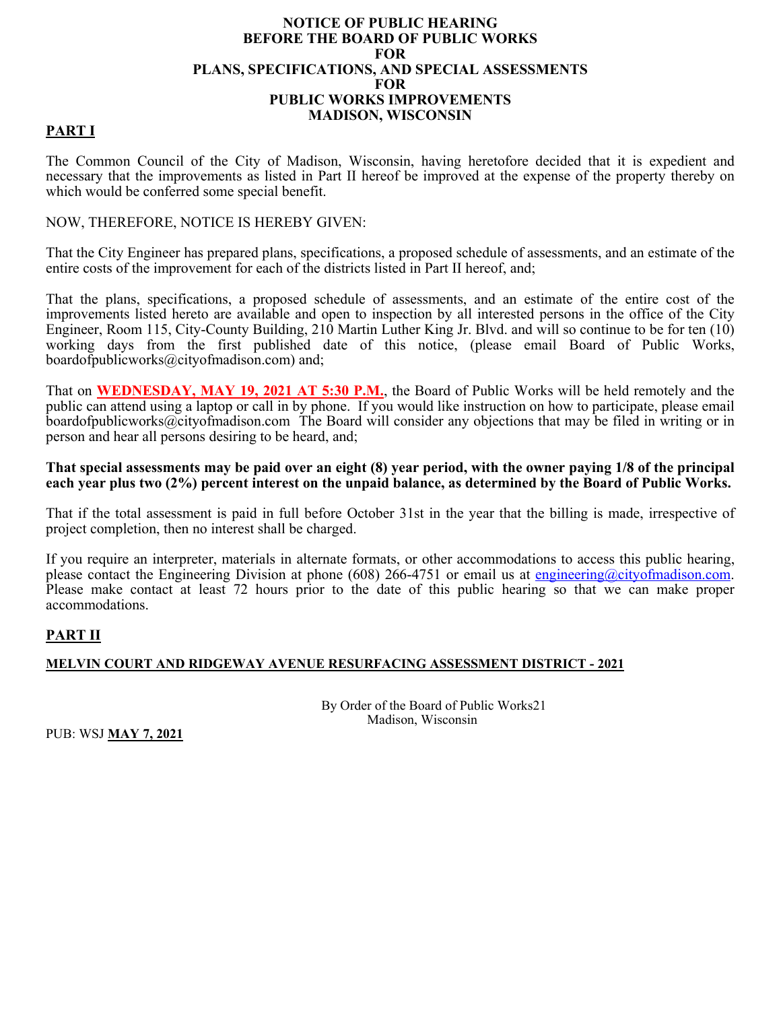### **NOTICE OF PUBLIC HEARING BEFORE THE BOARD OF PUBLIC WORKS FOR PLANS, SPECIFICATIONS, AND SPECIAL ASSESSMENTS FOR PUBLIC WORKS IMPROVEMENTS MADISON, WISCONSIN**

## **PART I**

The Common Council of the City of Madison, Wisconsin, having heretofore decided that it is expedient and necessary that the improvements as listed in Part II hereof be improved at the expense of the property thereby on which would be conferred some special benefit.

### NOW, THEREFORE, NOTICE IS HEREBY GIVEN:

That the City Engineer has prepared plans, specifications, a proposed schedule of assessments, and an estimate of the entire costs of the improvement for each of the districts listed in Part II hereof, and;

That the plans, specifications, a proposed schedule of assessments, and an estimate of the entire cost of the improvements listed hereto are available and open to inspection by all interested persons in the office of the City Engineer, Room 115, City-County Building, 210 Martin Luther King Jr. Blvd. and will so continue to be for ten (10) working days from the first published date of this notice, (please email Board of Public Works, boardofpublicworks@cityofmadison.com) and;

That on **WEDNESDAY, MAY 19, 2021 AT 5:30 P.M.**, the Board of Public Works will be held remotely and the public can attend using a laptop or call in by phone. If you would like instruction on how to participate, please email boardofpublicworks@cityofmadison.com The Board will consider any objections that may be filed in writing or in person and hear all persons desiring to be heard, and;

**That special assessments may be paid over an eight (8) year period, with the owner paying 1/8 of the principal each year plus two (2%) percent interest on the unpaid balance, as determined by the Board of Public Works.** 

That if the total assessment is paid in full before October 31st in the year that the billing is made, irrespective of project completion, then no interest shall be charged.

If you require an interpreter, materials in alternate formats, or other accommodations to access this public hearing, please contact the Engineering Division at phone (608) 266-4751 or email us at engineering@cityofmadison.com. Please make contact at least 72 hours prior to the date of this public hearing so that we can make proper accommodations.

## **PART II**

## **MELVIN COURT AND RIDGEWAY AVENUE RESURFACING ASSESSMENT DISTRICT - 2021**

 By Order of the Board of Public Works21 Madison, Wisconsin

PUB: WSJ **MAY 7, 2021**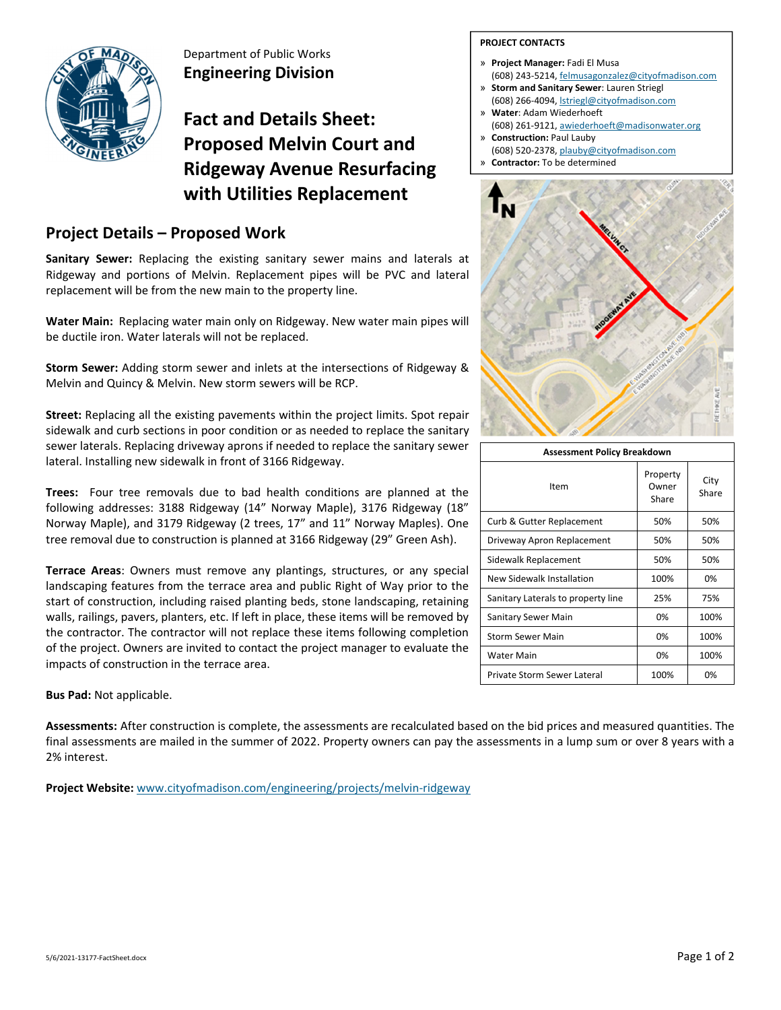

Department of Public Works **Engineering Division**

# **Fact and Details Sheet: Proposed Melvin Court and Ridgeway Avenue Resurfacing with Utilities Replacement**

# **Project Details – Proposed Work**

**Sanitary Sewer:** Replacing the existing sanitary sewer mains and laterals at Ridgeway and portions of Melvin. Replacement pipes will be PVC and lateral replacement will be from the new main to the property line.

**Water Main:** Replacing water main only on Ridgeway. New water main pipes will be ductile iron. Water laterals will not be replaced.

**Storm Sewer:** Adding storm sewer and inlets at the intersections of Ridgeway & Melvin and Quincy & Melvin. New storm sewers will be RCP.

**Street:** Replacing all the existing pavements within the project limits. Spot repair sidewalk and curb sections in poor condition or as needed to replace the sanitary sewer laterals. Replacing driveway aprons if needed to replace the sanitary sewer lateral. Installing new sidewalk in front of 3166 Ridgeway.

**Trees:**  Four tree removals due to bad health conditions are planned at the following addresses: 3188 Ridgeway (14" Norway Maple), 3176 Ridgeway (18" Norway Maple), and 3179 Ridgeway (2 trees, 17" and 11" Norway Maples). One tree removal due to construction is planned at 3166 Ridgeway (29" Green Ash).

**Terrace Areas**: Owners must remove any plantings, structures, or any special landscaping features from the terrace area and public Right of Way prior to the start of construction, including raised planting beds, stone landscaping, retaining walls, railings, pavers, planters, etc. If left in place, these items will be removed by the contractor. The contractor will not replace these items following completion of the project. Owners are invited to contact the project manager to evaluate the impacts of construction in the terrace area.

**Bus Pad:** Not applicable.

**Assessments:** After construction is complete, the assessments are recalculated based on the bid prices and measured quantities. The final assessments are mailed in the summer of 2022. Property owners can pay the assessments in a lump sum or over 8 years with a 2% interest.

**Project Website:** www.cityofmadison.com/engineering/projects/melvin‐ridgeway

### **PROJECT CONTACTS**

- » **Project Manager:** Fadi El Musa (608) 243‐5214, felmusagonzalez@cityofmadison.com
- » **Storm and Sanitary Sewer**: Lauren Striegl (608) 266‐4094, lstriegl@cityofmadison.com
- » **Water**: Adam Wiederhoeft (608) 261‐9121, awiederhoeft@madisonwater.org
- » **Construction:** Paul Lauby (608) 520‐2378, plauby@cityofmadison.com
- » **Contractor:** To be determined



| <b>Assessment Policy Breakdown</b> |                            |               |  |  |  |  |  |  |  |  |  |
|------------------------------------|----------------------------|---------------|--|--|--|--|--|--|--|--|--|
| Item                               | Property<br>Owner<br>Share | City<br>Share |  |  |  |  |  |  |  |  |  |
| Curb & Gutter Replacement          | 50%                        | 50%           |  |  |  |  |  |  |  |  |  |
| Driveway Apron Replacement         | 50%                        | 50%           |  |  |  |  |  |  |  |  |  |
| Sidewalk Replacement               | 50%                        | 50%           |  |  |  |  |  |  |  |  |  |
| New Sidewalk Installation          | 100%                       | 0%            |  |  |  |  |  |  |  |  |  |
| Sanitary Laterals to property line | 25%                        | 75%           |  |  |  |  |  |  |  |  |  |
| Sanitary Sewer Main                | 0%                         | 100%          |  |  |  |  |  |  |  |  |  |
| <b>Storm Sewer Main</b>            | 0%                         | 100%          |  |  |  |  |  |  |  |  |  |
| <b>Water Main</b>                  | 0%                         | 100%          |  |  |  |  |  |  |  |  |  |
| Private Storm Sewer Lateral        | 100%                       | 0%            |  |  |  |  |  |  |  |  |  |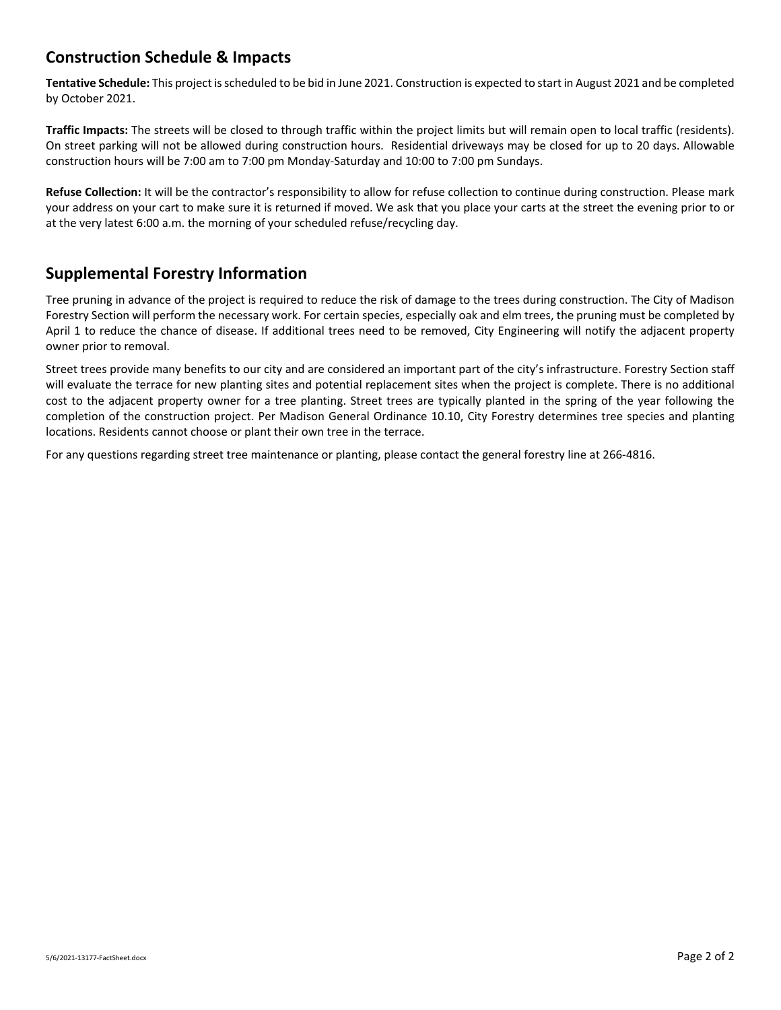# **Construction Schedule & Impacts**

**Tentative Schedule:** This project isscheduled to be bid in June 2021. Construction is expected to start in August 2021 and be completed by October 2021.

**Traffic Impacts:** The streets will be closed to through traffic within the project limits but will remain open to local traffic (residents). On street parking will not be allowed during construction hours. Residential driveways may be closed for up to 20 days. Allowable construction hours will be 7:00 am to 7:00 pm Monday‐Saturday and 10:00 to 7:00 pm Sundays.

**Refuse Collection:** It will be the contractor's responsibility to allow for refuse collection to continue during construction. Please mark your address on your cart to make sure it is returned if moved. We ask that you place your carts at the street the evening prior to or at the very latest 6:00 a.m. the morning of your scheduled refuse/recycling day.

## **Supplemental Forestry Information**

Tree pruning in advance of the project is required to reduce the risk of damage to the trees during construction. The City of Madison Forestry Section will perform the necessary work. For certain species, especially oak and elm trees, the pruning must be completed by April 1 to reduce the chance of disease. If additional trees need to be removed, City Engineering will notify the adjacent property owner prior to removal.

Street trees provide many benefits to our city and are considered an important part of the city's infrastructure. Forestry Section staff will evaluate the terrace for new planting sites and potential replacement sites when the project is complete. There is no additional cost to the adjacent property owner for a tree planting. Street trees are typically planted in the spring of the year following the completion of the construction project. Per Madison General Ordinance 10.10, City Forestry determines tree species and planting locations. Residents cannot choose or plant their own tree in the terrace.

For any questions regarding street tree maintenance or planting, please contact the general forestry line at 266‐4816.